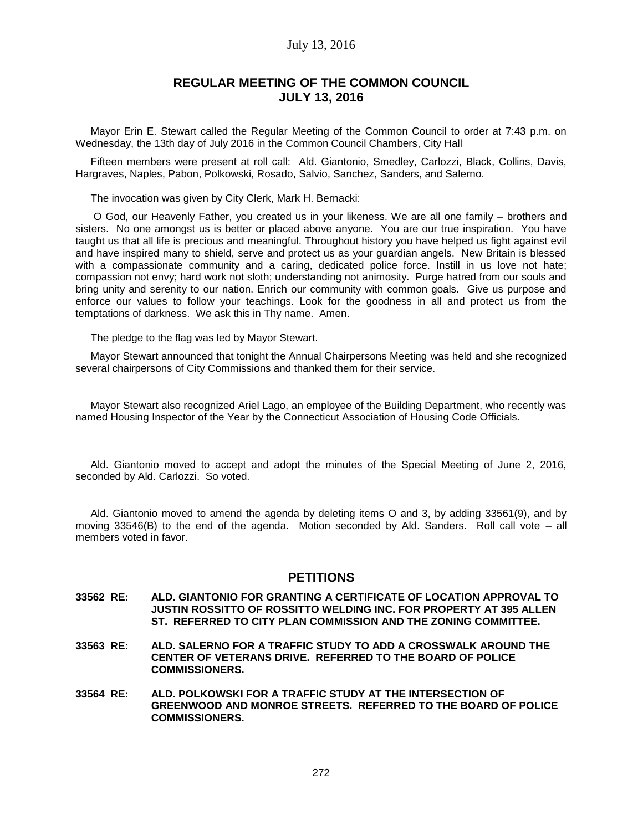# July 13, 2016

# **REGULAR MEETING OF THE COMMON COUNCIL JULY 13, 2016**

Mayor Erin E. Stewart called the Regular Meeting of the Common Council to order at 7:43 p.m. on Wednesday, the 13th day of July 2016 in the Common Council Chambers, City Hall

Fifteen members were present at roll call: Ald. Giantonio, Smedley, Carlozzi, Black, Collins, Davis, Hargraves, Naples, Pabon, Polkowski, Rosado, Salvio, Sanchez, Sanders, and Salerno.

The invocation was given by City Clerk, Mark H. Bernacki:

O God, our Heavenly Father, you created us in your likeness. We are all one family – brothers and sisters. No one amongst us is better or placed above anyone. You are our true inspiration. You have taught us that all life is precious and meaningful. Throughout history you have helped us fight against evil and have inspired many to shield, serve and protect us as your guardian angels. New Britain is blessed with a compassionate community and a caring, dedicated police force. Instill in us love not hate; compassion not envy; hard work not sloth; understanding not animosity. Purge hatred from our souls and bring unity and serenity to our nation. Enrich our community with common goals. Give us purpose and enforce our values to follow your teachings. Look for the goodness in all and protect us from the temptations of darkness. We ask this in Thy name. Amen.

The pledge to the flag was led by Mayor Stewart.

Mayor Stewart announced that tonight the Annual Chairpersons Meeting was held and she recognized several chairpersons of City Commissions and thanked them for their service.

Mayor Stewart also recognized Ariel Lago, an employee of the Building Department, who recently was named Housing Inspector of the Year by the Connecticut Association of Housing Code Officials.

Ald. Giantonio moved to accept and adopt the minutes of the Special Meeting of June 2, 2016, seconded by Ald. Carlozzi. So voted.

Ald. Giantonio moved to amend the agenda by deleting items O and 3, by adding 33561(9), and by moving 33546(B) to the end of the agenda. Motion seconded by Ald. Sanders. Roll call vote – all members voted in favor.

## **PETITIONS**

- **33562 RE: ALD. GIANTONIO FOR GRANTING A CERTIFICATE OF LOCATION APPROVAL TO JUSTIN ROSSITTO OF ROSSITTO WELDING INC. FOR PROPERTY AT 395 ALLEN ST. REFERRED TO CITY PLAN COMMISSION AND THE ZONING COMMITTEE.**
- **33563 RE: ALD. SALERNO FOR A TRAFFIC STUDY TO ADD A CROSSWALK AROUND THE CENTER OF VETERANS DRIVE. REFERRED TO THE BOARD OF POLICE COMMISSIONERS.**
- **33564 RE: ALD. POLKOWSKI FOR A TRAFFIC STUDY AT THE INTERSECTION OF GREENWOOD AND MONROE STREETS. REFERRED TO THE BOARD OF POLICE COMMISSIONERS.**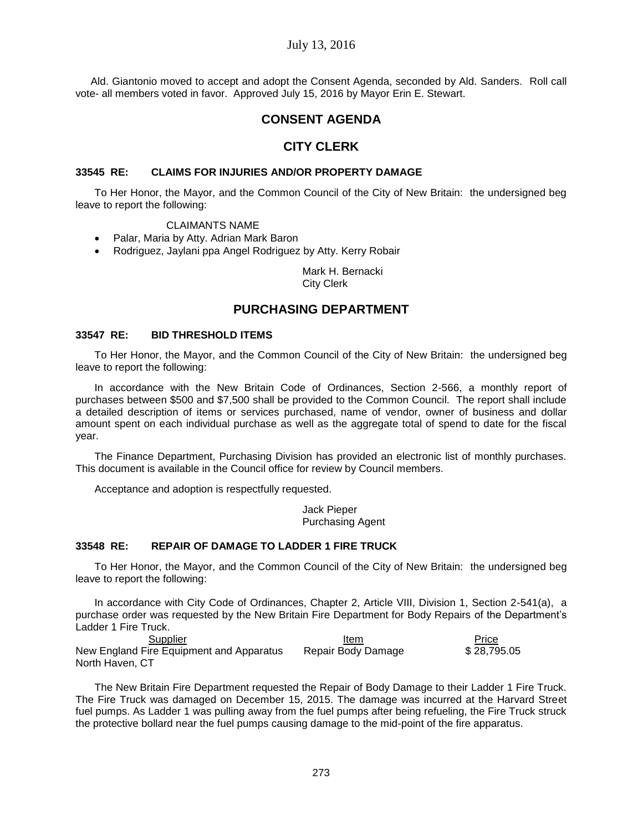# July 13, 2016

Ald. Giantonio moved to accept and adopt the Consent Agenda, seconded by Ald. Sanders. Roll call vote- all members voted in favor. Approved July 15, 2016 by Mayor Erin E. Stewart.

# **CONSENT AGENDA**

# **CITY CLERK**

#### **33545 RE: CLAIMS FOR INJURIES AND/OR PROPERTY DAMAGE**

To Her Honor, the Mayor, and the Common Council of the City of New Britain: the undersigned beg leave to report the following:

#### CLAIMANTS NAME

- Palar, Maria by Atty. Adrian Mark Baron
- Rodriguez, Jaylani ppa Angel Rodriguez by Atty. Kerry Robair

Mark H. Bernacki City Clerk

# **PURCHASING DEPARTMENT**

#### **33547 RE: BID THRESHOLD ITEMS**

To Her Honor, the Mayor, and the Common Council of the City of New Britain: the undersigned beg leave to report the following:

In accordance with the New Britain Code of Ordinances, Section 2-566, a monthly report of purchases between \$500 and \$7,500 shall be provided to the Common Council. The report shall include a detailed description of items or services purchased, name of vendor, owner of business and dollar amount spent on each individual purchase as well as the aggregate total of spend to date for the fiscal year.

The Finance Department, Purchasing Division has provided an electronic list of monthly purchases. This document is available in the Council office for review by Council members.

Acceptance and adoption is respectfully requested.

Jack Pieper Purchasing Agent

#### **33548 RE: REPAIR OF DAMAGE TO LADDER 1 FIRE TRUCK**

To Her Honor, the Mayor, and the Common Council of the City of New Britain: the undersigned beg leave to report the following:

In accordance with City Code of Ordinances, Chapter 2, Article VIII, Division 1, Section 2-541(a), a purchase order was requested by the New Britain Fire Department for Body Repairs of the Department's Ladder 1 Fire Truck.

**Supplier Community Supplier** Community Supplier Community Supplier Price New England Fire Equipment and Apparatus Repair Body Damage \$ 28,795.05 North Haven, CT

The New Britain Fire Department requested the Repair of Body Damage to their Ladder 1 Fire Truck. The Fire Truck was damaged on December 15, 2015. The damage was incurred at the Harvard Street fuel pumps. As Ladder 1 was pulling away from the fuel pumps after being refueling, the Fire Truck struck the protective bollard near the fuel pumps causing damage to the mid-point of the fire apparatus.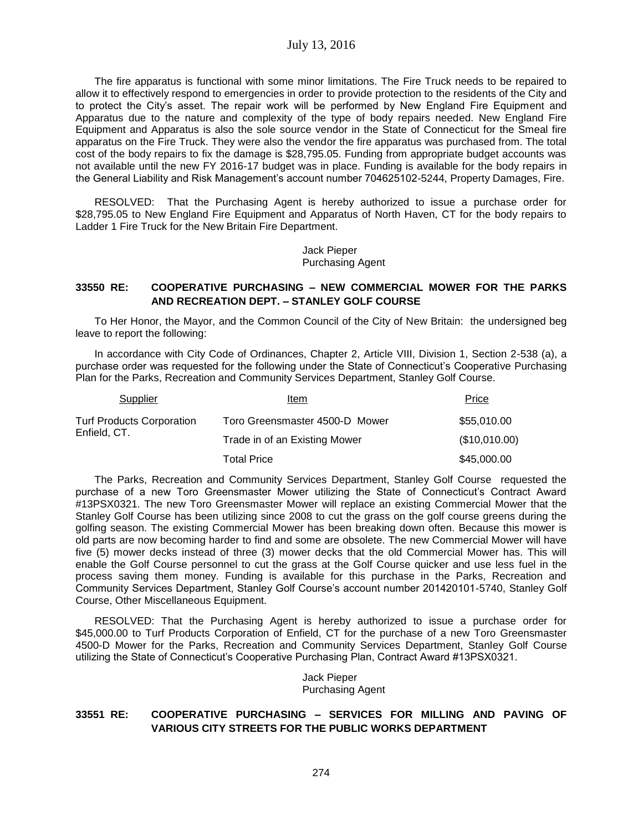The fire apparatus is functional with some minor limitations. The Fire Truck needs to be repaired to allow it to effectively respond to emergencies in order to provide protection to the residents of the City and to protect the City's asset. The repair work will be performed by New England Fire Equipment and Apparatus due to the nature and complexity of the type of body repairs needed. New England Fire Equipment and Apparatus is also the sole source vendor in the State of Connecticut for the Smeal fire apparatus on the Fire Truck. They were also the vendor the fire apparatus was purchased from. The total cost of the body repairs to fix the damage is \$28,795.05. Funding from appropriate budget accounts was not available until the new FY 2016-17 budget was in place. Funding is available for the body repairs in the General Liability and Risk Management's account number 704625102-5244, Property Damages, Fire.

RESOLVED: That the Purchasing Agent is hereby authorized to issue a purchase order for \$28,795.05 to New England Fire Equipment and Apparatus of North Haven, CT for the body repairs to Ladder 1 Fire Truck for the New Britain Fire Department.

> Jack Pieper Purchasing Agent

## **33550 RE: COOPERATIVE PURCHASING – NEW COMMERCIAL MOWER FOR THE PARKS AND RECREATION DEPT. – STANLEY GOLF COURSE**

To Her Honor, the Mayor, and the Common Council of the City of New Britain: the undersigned beg leave to report the following:

In accordance with City Code of Ordinances, Chapter 2, Article VIII, Division 1, Section 2-538 (a), a purchase order was requested for the following under the State of Connecticut's Cooperative Purchasing Plan for the Parks, Recreation and Community Services Department, Stanley Golf Course.

| Supplier                                         | Item                           | Price         |
|--------------------------------------------------|--------------------------------|---------------|
| <b>Turf Products Corporation</b><br>Enfield, CT. | Toro Greensmaster 4500-D Mower | \$55,010.00   |
|                                                  | Trade in of an Existing Mower  | (\$10,010.00) |
|                                                  | Total Price                    | \$45,000.00   |

The Parks, Recreation and Community Services Department, Stanley Golf Course requested the purchase of a new Toro Greensmaster Mower utilizing the State of Connecticut's Contract Award #13PSX0321. The new Toro Greensmaster Mower will replace an existing Commercial Mower that the Stanley Golf Course has been utilizing since 2008 to cut the grass on the golf course greens during the golfing season. The existing Commercial Mower has been breaking down often. Because this mower is old parts are now becoming harder to find and some are obsolete. The new Commercial Mower will have five (5) mower decks instead of three (3) mower decks that the old Commercial Mower has. This will enable the Golf Course personnel to cut the grass at the Golf Course quicker and use less fuel in the process saving them money. Funding is available for this purchase in the Parks, Recreation and Community Services Department, Stanley Golf Course's account number 201420101-5740, Stanley Golf Course, Other Miscellaneous Equipment.

RESOLVED: That the Purchasing Agent is hereby authorized to issue a purchase order for \$45,000.00 to Turf Products Corporation of Enfield, CT for the purchase of a new Toro Greensmaster 4500-D Mower for the Parks, Recreation and Community Services Department, Stanley Golf Course utilizing the State of Connecticut's Cooperative Purchasing Plan, Contract Award #13PSX0321.

> Jack Pieper Purchasing Agent

#### **33551 RE: COOPERATIVE PURCHASING – SERVICES FOR MILLING AND PAVING OF VARIOUS CITY STREETS FOR THE PUBLIC WORKS DEPARTMENT**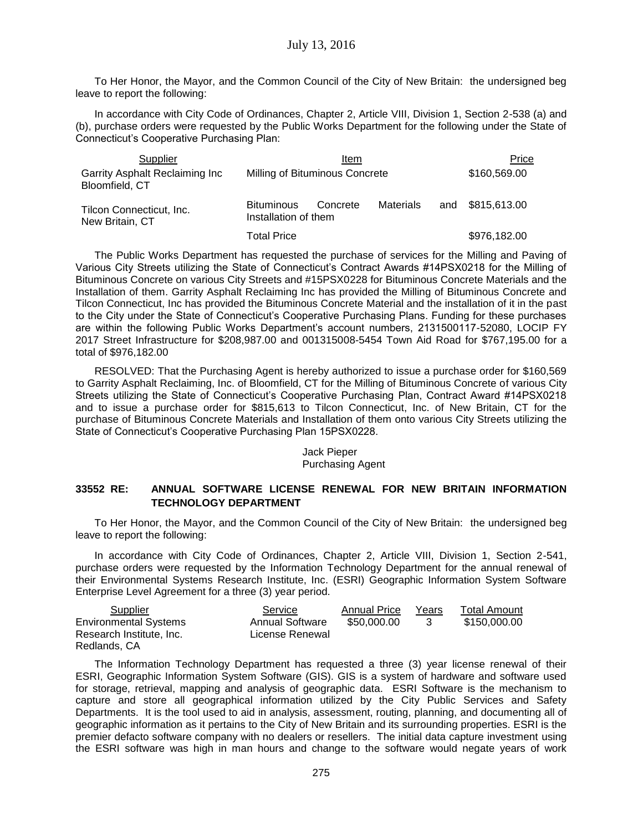To Her Honor, the Mayor, and the Common Council of the City of New Britain: the undersigned beg leave to report the following:

In accordance with City Code of Ordinances, Chapter 2, Article VIII, Division 1, Section 2-538 (a) and (b), purchase orders were requested by the Public Works Department for the following under the State of Connecticut's Cooperative Purchasing Plan:

| Supplier                                         | Item                                      |          |           |     | Price        |  |  |
|--------------------------------------------------|-------------------------------------------|----------|-----------|-----|--------------|--|--|
| Garrity Asphalt Reclaiming Inc<br>Bloomfield, CT | Milling of Bituminous Concrete            |          |           |     | \$160,569.00 |  |  |
| Tilcon Connecticut, Inc.<br>New Britain, CT      | <b>Bituminous</b><br>Installation of them | Concrete | Materials | and | \$815,613.00 |  |  |
|                                                  | <b>Total Price</b>                        |          |           |     | \$976,182.00 |  |  |

The Public Works Department has requested the purchase of services for the Milling and Paving of Various City Streets utilizing the State of Connecticut's Contract Awards #14PSX0218 for the Milling of Bituminous Concrete on various City Streets and #15PSX0228 for Bituminous Concrete Materials and the Installation of them. Garrity Asphalt Reclaiming Inc has provided the Milling of Bituminous Concrete and Tilcon Connecticut, Inc has provided the Bituminous Concrete Material and the installation of it in the past to the City under the State of Connecticut's Cooperative Purchasing Plans. Funding for these purchases are within the following Public Works Department's account numbers, 2131500117-52080, LOCIP FY 2017 Street Infrastructure for \$208,987.00 and 001315008-5454 Town Aid Road for \$767,195.00 for a total of \$976,182.00

RESOLVED: That the Purchasing Agent is hereby authorized to issue a purchase order for \$160,569 to Garrity Asphalt Reclaiming, Inc. of Bloomfield, CT for the Milling of Bituminous Concrete of various City Streets utilizing the State of Connecticut's Cooperative Purchasing Plan, Contract Award #14PSX0218 and to issue a purchase order for \$815,613 to Tilcon Connecticut, Inc. of New Britain, CT for the purchase of Bituminous Concrete Materials and Installation of them onto various City Streets utilizing the State of Connecticut's Cooperative Purchasing Plan 15PSX0228.

## Jack Pieper Purchasing Agent

## **33552 RE: ANNUAL SOFTWARE LICENSE RENEWAL FOR NEW BRITAIN INFORMATION TECHNOLOGY DEPARTMENT**

To Her Honor, the Mayor, and the Common Council of the City of New Britain: the undersigned beg leave to report the following:

In accordance with City Code of Ordinances, Chapter 2, Article VIII, Division 1, Section 2-541, purchase orders were requested by the Information Technology Department for the annual renewal of their Environmental Systems Research Institute, Inc. (ESRI) Geographic Information System Software Enterprise Level Agreement for a three (3) year period.

| Supplier                     | Service                | <b>Annual Price</b> | Years | <b>Total Amount</b> |
|------------------------------|------------------------|---------------------|-------|---------------------|
| <b>Environmental Systems</b> | <b>Annual Software</b> | \$50,000,00         |       | \$150.000.00        |
| Research Institute. Inc.     | License Renewal        |                     |       |                     |
| Redlands, CA                 |                        |                     |       |                     |

The Information Technology Department has requested a three (3) year license renewal of their ESRI, Geographic Information System Software (GIS). GIS is a system of hardware and software used for storage, retrieval, mapping and analysis of geographic data. ESRI Software is the mechanism to capture and store all geographical information utilized by the City Public Services and Safety Departments. It is the tool used to aid in analysis, assessment, routing, planning, and documenting all of geographic information as it pertains to the City of New Britain and its surrounding properties. ESRI is the premier defacto software company with no dealers or resellers. The initial data capture investment using the ESRI software was high in man hours and change to the software would negate years of work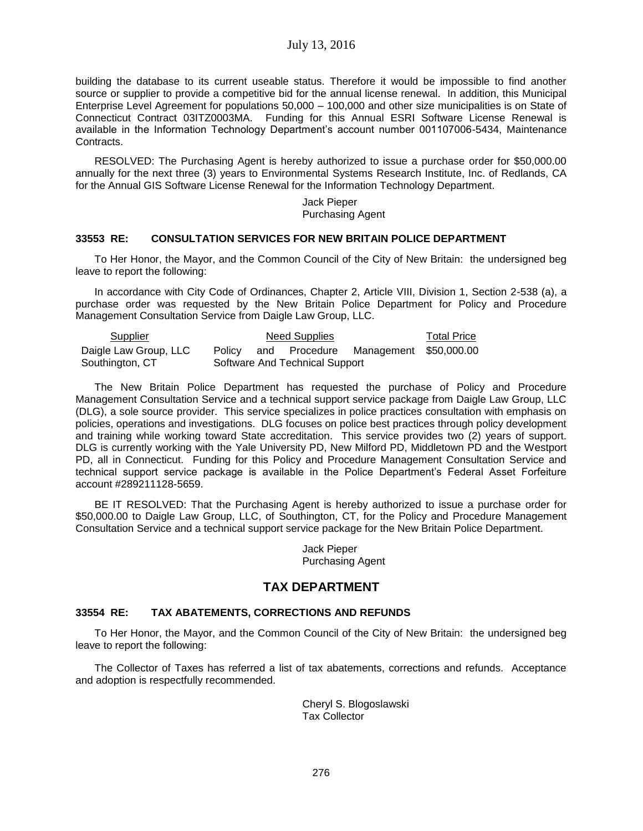building the database to its current useable status. Therefore it would be impossible to find another source or supplier to provide a competitive bid for the annual license renewal. In addition, this Municipal Enterprise Level Agreement for populations 50,000 – 100,000 and other size municipalities is on State of Connecticut Contract 03ITZ0003MA. Funding for this Annual ESRI Software License Renewal is available in the Information Technology Department's account number 001107006-5434, Maintenance Contracts.

RESOLVED: The Purchasing Agent is hereby authorized to issue a purchase order for \$50,000.00 annually for the next three (3) years to Environmental Systems Research Institute, Inc. of Redlands, CA for the Annual GIS Software License Renewal for the Information Technology Department.

> Jack Pieper Purchasing Agent

## **33553 RE: CONSULTATION SERVICES FOR NEW BRITAIN POLICE DEPARTMENT**

To Her Honor, the Mayor, and the Common Council of the City of New Britain: the undersigned beg leave to report the following:

In accordance with City Code of Ordinances, Chapter 2, Article VIII, Division 1, Section 2-538 (a), a purchase order was requested by the New Britain Police Department for Policy and Procedure Management Consultation Service from Daigle Law Group, LLC.

| Supplier              | Need Supplies |  |                                |                                             | Total Price |
|-----------------------|---------------|--|--------------------------------|---------------------------------------------|-------------|
| Daigle Law Group, LLC |               |  |                                | Policy and Procedure Management \$50,000.00 |             |
| Southington, CT       |               |  | Software And Technical Support |                                             |             |

The New Britain Police Department has requested the purchase of Policy and Procedure Management Consultation Service and a technical support service package from Daigle Law Group, LLC (DLG), a sole source provider. This service specializes in police practices consultation with emphasis on policies, operations and investigations. DLG focuses on police best practices through policy development and training while working toward State accreditation. This service provides two (2) years of support. DLG is currently working with the Yale University PD, New Milford PD, Middletown PD and the Westport PD, all in Connecticut. Funding for this Policy and Procedure Management Consultation Service and technical support service package is available in the Police Department's Federal Asset Forfeiture account #289211128-5659.

BE IT RESOLVED: That the Purchasing Agent is hereby authorized to issue a purchase order for \$50,000.00 to Daigle Law Group, LLC, of Southington, CT, for the Policy and Procedure Management Consultation Service and a technical support service package for the New Britain Police Department.

> Jack Pieper Purchasing Agent

# **TAX DEPARTMENT**

#### **33554 RE: TAX ABATEMENTS, CORRECTIONS AND REFUNDS**

To Her Honor, the Mayor, and the Common Council of the City of New Britain: the undersigned beg leave to report the following:

The Collector of Taxes has referred a list of tax abatements, corrections and refunds. Acceptance and adoption is respectfully recommended.

> Cheryl S. Blogoslawski Tax Collector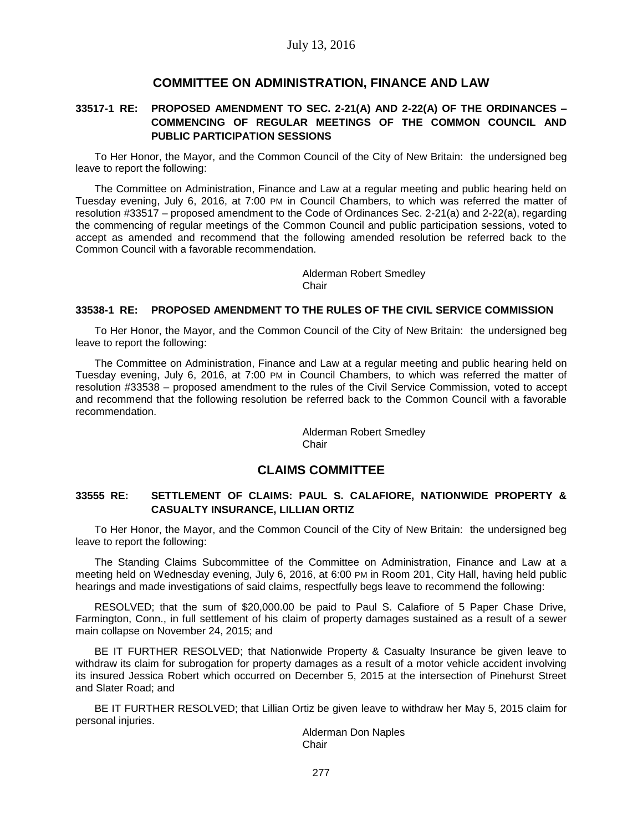# **COMMITTEE ON ADMINISTRATION, FINANCE AND LAW**

# **33517-1 RE: PROPOSED AMENDMENT TO SEC. 2-21(A) AND 2-22(A) OF THE ORDINANCES – COMMENCING OF REGULAR MEETINGS OF THE COMMON COUNCIL AND PUBLIC PARTICIPATION SESSIONS**

To Her Honor, the Mayor, and the Common Council of the City of New Britain: the undersigned beg leave to report the following:

The Committee on Administration, Finance and Law at a regular meeting and public hearing held on Tuesday evening, July 6, 2016, at 7:00 PM in Council Chambers, to which was referred the matter of resolution #33517 – proposed amendment to the Code of Ordinances Sec. 2-21(a) and 2-22(a), regarding the commencing of regular meetings of the Common Council and public participation sessions, voted to accept as amended and recommend that the following amended resolution be referred back to the Common Council with a favorable recommendation.

> Alderman Robert Smedley Chair

#### **33538-1 RE: PROPOSED AMENDMENT TO THE RULES OF THE CIVIL SERVICE COMMISSION**

To Her Honor, the Mayor, and the Common Council of the City of New Britain: the undersigned beg leave to report the following:

The Committee on Administration, Finance and Law at a regular meeting and public hearing held on Tuesday evening, July 6, 2016, at 7:00 PM in Council Chambers, to which was referred the matter of resolution #33538 – proposed amendment to the rules of the Civil Service Commission, voted to accept and recommend that the following resolution be referred back to the Common Council with a favorable recommendation.

> Alderman Robert Smedley Chair

# **CLAIMS COMMITTEE**

## **33555 RE: SETTLEMENT OF CLAIMS: PAUL S. CALAFIORE, NATIONWIDE PROPERTY & CASUALTY INSURANCE, LILLIAN ORTIZ**

To Her Honor, the Mayor, and the Common Council of the City of New Britain: the undersigned beg leave to report the following:

The Standing Claims Subcommittee of the Committee on Administration, Finance and Law at a meeting held on Wednesday evening, July 6, 2016, at 6:00 PM in Room 201, City Hall, having held public hearings and made investigations of said claims, respectfully begs leave to recommend the following:

RESOLVED; that the sum of \$20,000.00 be paid to Paul S. Calafiore of 5 Paper Chase Drive, Farmington, Conn., in full settlement of his claim of property damages sustained as a result of a sewer main collapse on November 24, 2015; and

BE IT FURTHER RESOLVED; that Nationwide Property & Casualty Insurance be given leave to withdraw its claim for subrogation for property damages as a result of a motor vehicle accident involving its insured Jessica Robert which occurred on December 5, 2015 at the intersection of Pinehurst Street and Slater Road; and

BE IT FURTHER RESOLVED; that Lillian Ortiz be given leave to withdraw her May 5, 2015 claim for personal injuries.

Alderman Don Naples **Chair**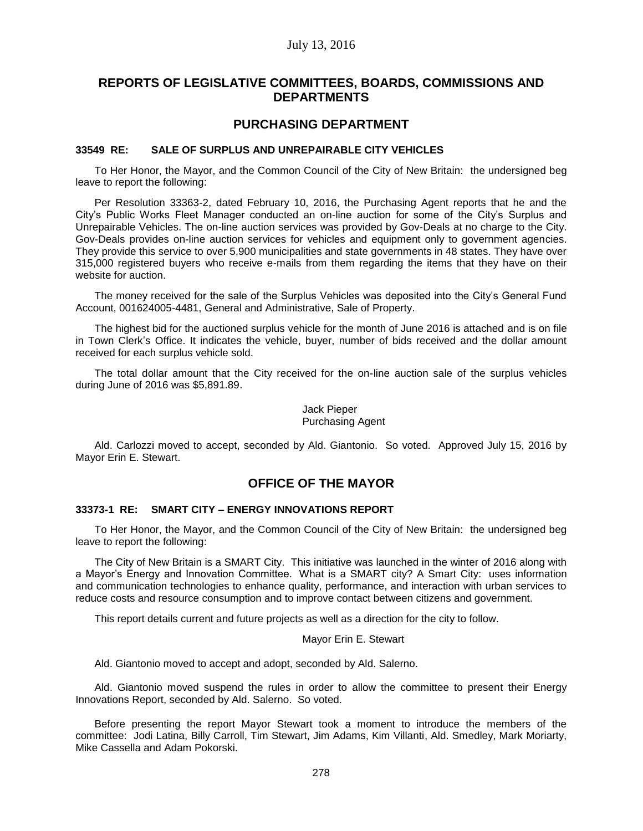# **REPORTS OF LEGISLATIVE COMMITTEES, BOARDS, COMMISSIONS AND DEPARTMENTS**

# **PURCHASING DEPARTMENT**

#### **33549 RE: SALE OF SURPLUS AND UNREPAIRABLE CITY VEHICLES**

To Her Honor, the Mayor, and the Common Council of the City of New Britain: the undersigned beg leave to report the following:

Per Resolution 33363-2, dated February 10, 2016, the Purchasing Agent reports that he and the City's Public Works Fleet Manager conducted an on-line auction for some of the City's Surplus and Unrepairable Vehicles. The on-line auction services was provided by Gov-Deals at no charge to the City. Gov-Deals provides on-line auction services for vehicles and equipment only to government agencies. They provide this service to over 5,900 municipalities and state governments in 48 states. They have over 315,000 registered buyers who receive e-mails from them regarding the items that they have on their website for auction.

The money received for the sale of the Surplus Vehicles was deposited into the City's General Fund Account, 001624005-4481, General and Administrative, Sale of Property.

The highest bid for the auctioned surplus vehicle for the month of June 2016 is attached and is on file in Town Clerk's Office. It indicates the vehicle, buyer, number of bids received and the dollar amount received for each surplus vehicle sold.

The total dollar amount that the City received for the on-line auction sale of the surplus vehicles during June of 2016 was \$5,891.89.

> Jack Pieper Purchasing Agent

Ald. Carlozzi moved to accept, seconded by Ald. Giantonio. So voted. Approved July 15, 2016 by Mayor Erin E. Stewart.

# **OFFICE OF THE MAYOR**

## **33373-1 RE: SMART CITY – ENERGY INNOVATIONS REPORT**

To Her Honor, the Mayor, and the Common Council of the City of New Britain: the undersigned beg leave to report the following:

The City of New Britain is a SMART City. This initiative was launched in the winter of 2016 along with a Mayor's Energy and Innovation Committee. What is a SMART city? A Smart City: uses information and communication technologies to enhance quality, performance, and interaction with urban services to reduce costs and resource consumption and to improve contact between citizens and government.

This report details current and future projects as well as a direction for the city to follow.

#### Mayor Erin E. Stewart

Ald. Giantonio moved to accept and adopt, seconded by Ald. Salerno.

Ald. Giantonio moved suspend the rules in order to allow the committee to present their Energy Innovations Report, seconded by Ald. Salerno. So voted.

Before presenting the report Mayor Stewart took a moment to introduce the members of the committee: Jodi Latina, Billy Carroll, Tim Stewart, Jim Adams, Kim Villanti, Ald. Smedley, Mark Moriarty, Mike Cassella and Adam Pokorski.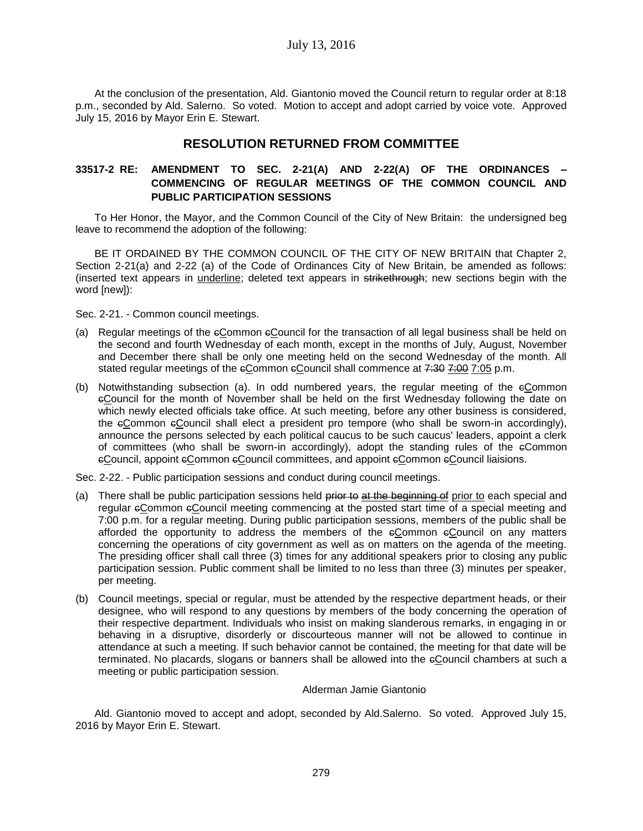At the conclusion of the presentation, Ald. Giantonio moved the Council return to regular order at 8:18 p.m., seconded by Ald. Salerno. So voted. Motion to accept and adopt carried by voice vote. Approved July 15, 2016 by Mayor Erin E. Stewart.

# **RESOLUTION RETURNED FROM COMMITTEE**

# **33517-2 RE: AMENDMENT TO SEC. 2-21(A) AND 2-22(A) OF THE ORDINANCES – COMMENCING OF REGULAR MEETINGS OF THE COMMON COUNCIL AND PUBLIC PARTICIPATION SESSIONS**

To Her Honor, the Mayor, and the Common Council of the City of New Britain: the undersigned beg leave to recommend the adoption of the following:

BE IT ORDAINED BY THE COMMON COUNCIL OF THE CITY OF NEW BRITAIN that Chapter 2, Section 2-21(a) and 2-22 (a) of the Code of Ordinances City of New Britain, be amended as follows: (inserted text appears in underline; deleted text appears in strikethrough; new sections begin with the word [new]):

Sec. 2-21. - Common council meetings.

- (a) Regular meetings of the cCommon cCouncil for the transaction of all legal business shall be held on the second and fourth Wednesday of each month, except in the months of July, August, November and December there shall be only one meeting held on the second Wednesday of the month. All stated regular meetings of the  $e$ Common  $e$ Council shall commence at  $7:307:007$  p.m.
- (b) Notwithstanding subsection (a). In odd numbered years, the regular meeting of the cCommon cCouncil for the month of November shall be held on the first Wednesday following the date on which newly elected officials take office. At such meeting, before any other business is considered, the cCommon cCouncil shall elect a president pro tempore (who shall be sworn-in accordingly), announce the persons selected by each political caucus to be such caucus' leaders, appoint a clerk of committees (who shall be sworn-in accordingly), adopt the standing rules of the cCommon eCouncil, appoint eCommon eCouncil committees, and appoint eCommon eCouncil liaisions.

Sec. 2-22. - Public participation sessions and conduct during council meetings.

- (a) There shall be public participation sessions held prior to at the beginning of prior to each special and regular eCommon eCouncil meeting commencing at the posted start time of a special meeting and 7:00 p.m. for a regular meeting. During public participation sessions, members of the public shall be afforded the opportunity to address the members of the cCommon cCouncil on any matters concerning the operations of city government as well as on matters on the agenda of the meeting. The presiding officer shall call three (3) times for any additional speakers prior to closing any public participation session. Public comment shall be limited to no less than three (3) minutes per speaker, per meeting.
- (b) Council meetings, special or regular, must be attended by the respective department heads, or their designee, who will respond to any questions by members of the body concerning the operation of their respective department. Individuals who insist on making slanderous remarks, in engaging in or behaving in a disruptive, disorderly or discourteous manner will not be allowed to continue in attendance at such a meeting. If such behavior cannot be contained, the meeting for that date will be terminated. No placards, slogans or banners shall be allowed into the cCouncil chambers at such a meeting or public participation session.

#### Alderman Jamie Giantonio

Ald. Giantonio moved to accept and adopt, seconded by Ald.Salerno. So voted. Approved July 15, 2016 by Mayor Erin E. Stewart.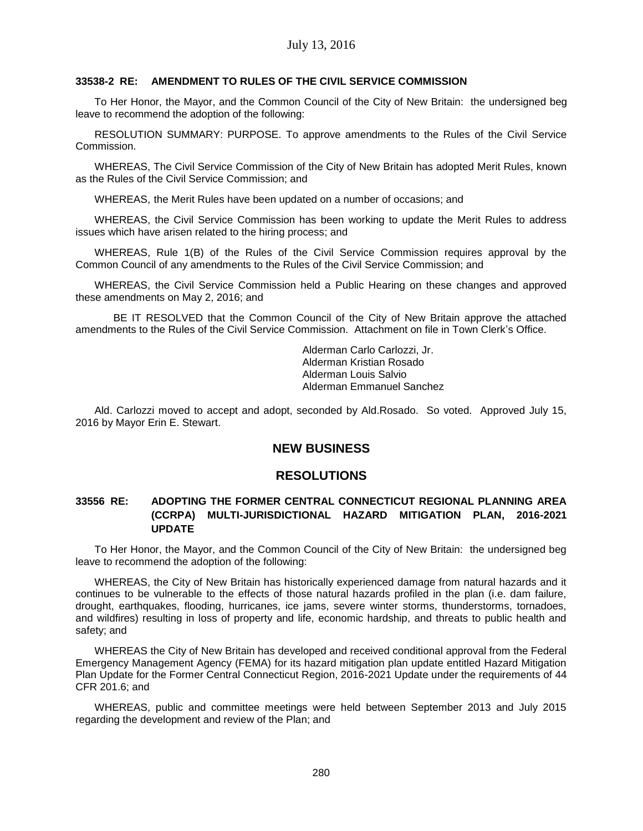## **33538-2 RE: AMENDMENT TO RULES OF THE CIVIL SERVICE COMMISSION**

To Her Honor, the Mayor, and the Common Council of the City of New Britain: the undersigned beg leave to recommend the adoption of the following:

RESOLUTION SUMMARY: PURPOSE. To approve amendments to the Rules of the Civil Service Commission.

WHEREAS, The Civil Service Commission of the City of New Britain has adopted Merit Rules, known as the Rules of the Civil Service Commission; and

WHEREAS, the Merit Rules have been updated on a number of occasions; and

WHEREAS, the Civil Service Commission has been working to update the Merit Rules to address issues which have arisen related to the hiring process; and

WHEREAS, Rule 1(B) of the Rules of the Civil Service Commission requires approval by the Common Council of any amendments to the Rules of the Civil Service Commission; and

WHEREAS, the Civil Service Commission held a Public Hearing on these changes and approved these amendments on May 2, 2016; and

BE IT RESOLVED that the Common Council of the City of New Britain approve the attached amendments to the Rules of the Civil Service Commission. Attachment on file in Town Clerk's Office.

> Alderman Carlo Carlozzi, Jr. Alderman Kristian Rosado Alderman Louis Salvio Alderman Emmanuel Sanchez

Ald. Carlozzi moved to accept and adopt, seconded by Ald.Rosado. So voted. Approved July 15, 2016 by Mayor Erin E. Stewart.

# **NEW BUSINESS**

# **RESOLUTIONS**

# **33556 RE: ADOPTING THE FORMER CENTRAL CONNECTICUT REGIONAL PLANNING AREA (CCRPA) MULTI-JURISDICTIONAL HAZARD MITIGATION PLAN, 2016-2021 UPDATE**

To Her Honor, the Mayor, and the Common Council of the City of New Britain: the undersigned beg leave to recommend the adoption of the following:

WHEREAS, the City of New Britain has historically experienced damage from natural hazards and it continues to be vulnerable to the effects of those natural hazards profiled in the plan (i.e. dam failure, drought, earthquakes, flooding, hurricanes, ice jams, severe winter storms, thunderstorms, tornadoes, and wildfires) resulting in loss of property and life, economic hardship, and threats to public health and safety; and

WHEREAS the City of New Britain has developed and received conditional approval from the Federal Emergency Management Agency (FEMA) for its hazard mitigation plan update entitled Hazard Mitigation Plan Update for the Former Central Connecticut Region, 2016-2021 Update under the requirements of 44 CFR 201.6; and

WHEREAS, public and committee meetings were held between September 2013 and July 2015 regarding the development and review of the Plan; and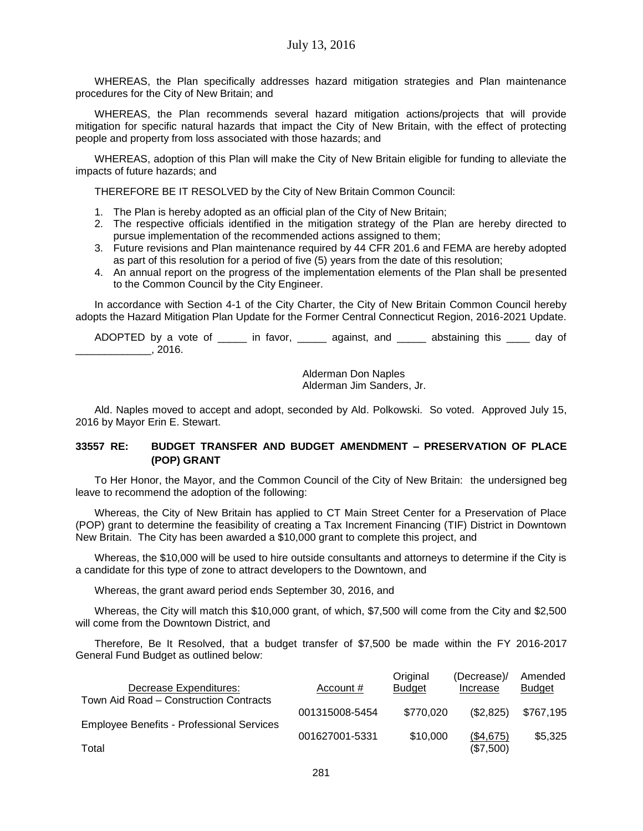WHEREAS, the Plan specifically addresses hazard mitigation strategies and Plan maintenance procedures for the City of New Britain; and

WHEREAS, the Plan recommends several hazard mitigation actions/projects that will provide mitigation for specific natural hazards that impact the City of New Britain, with the effect of protecting people and property from loss associated with those hazards; and

WHEREAS, adoption of this Plan will make the City of New Britain eligible for funding to alleviate the impacts of future hazards; and

THEREFORE BE IT RESOLVED by the City of New Britain Common Council:

- 1. The Plan is hereby adopted as an official plan of the City of New Britain;
- 2. The respective officials identified in the mitigation strategy of the Plan are hereby directed to pursue implementation of the recommended actions assigned to them;
- 3. Future revisions and Plan maintenance required by 44 CFR 201.6 and FEMA are hereby adopted as part of this resolution for a period of five (5) years from the date of this resolution;
- 4. An annual report on the progress of the implementation elements of the Plan shall be presented to the Common Council by the City Engineer.

In accordance with Section 4-1 of the City Charter, the City of New Britain Common Council hereby adopts the Hazard Mitigation Plan Update for the Former Central Connecticut Region, 2016-2021 Update.

ADOPTED by a vote of \_\_\_\_\_\_ in favor, \_\_\_\_\_\_ against, and \_\_\_\_\_\_ abstaining this \_\_\_\_ day of \_\_\_\_\_\_\_\_\_\_\_\_\_, 2016.

> Alderman Don Naples Alderman Jim Sanders, Jr.

Ald. Naples moved to accept and adopt, seconded by Ald. Polkowski. So voted. Approved July 15, 2016 by Mayor Erin E. Stewart.

# **33557 RE: BUDGET TRANSFER AND BUDGET AMENDMENT – PRESERVATION OF PLACE (POP) GRANT**

To Her Honor, the Mayor, and the Common Council of the City of New Britain: the undersigned beg leave to recommend the adoption of the following:

Whereas, the City of New Britain has applied to CT Main Street Center for a Preservation of Place (POP) grant to determine the feasibility of creating a Tax Increment Financing (TIF) District in Downtown New Britain. The City has been awarded a \$10,000 grant to complete this project, and

Whereas, the \$10,000 will be used to hire outside consultants and attorneys to determine if the City is a candidate for this type of zone to attract developers to the Downtown, and

Whereas, the grant award period ends September 30, 2016, and

Whereas, the City will match this \$10,000 grant, of which, \$7,500 will come from the City and \$2,500 will come from the Downtown District, and

Therefore, Be It Resolved, that a budget transfer of \$7,500 be made within the FY 2016-2017 General Fund Budget as outlined below:

| Decrease Expenditures:                                    | Account #      | Original<br><b>Budget</b> | (Decrease)/<br>Increase | Amended<br><b>Budget</b> |
|-----------------------------------------------------------|----------------|---------------------------|-------------------------|--------------------------|
| Town Aid Road – Construction Contracts                    | 001315008-5454 | \$770.020                 | (\$2,825)               | \$767.195                |
| <b>Employee Benefits - Professional Services</b><br>Total | 001627001-5331 | \$10,000                  | (\$4,675)<br>(\$7,500)  | \$5,325                  |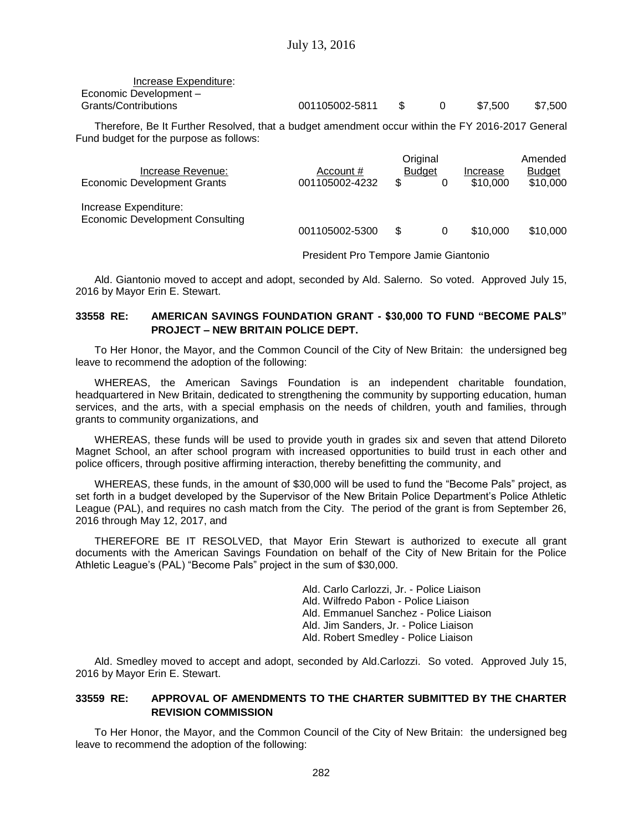| Increase Expenditure:  |                |              |          |         |         |
|------------------------|----------------|--------------|----------|---------|---------|
| Economic Development - |                |              |          |         |         |
| Grants/Contributions   | 001105002-5811 | $\mathbb{S}$ | $\Omega$ | \$7.500 | \$7.500 |

Therefore, Be It Further Resolved, that a budget amendment occur within the FY 2016-2017 General Fund budget for the purpose as follows:

|                                                                 |                | Original      |          | Amended       |
|-----------------------------------------------------------------|----------------|---------------|----------|---------------|
| Increase Revenue:                                               | Account #      | <b>Budget</b> | Increase | <b>Budget</b> |
| Economic Development Grants                                     | 001105002-4232 | \$            | \$10,000 | \$10,000      |
| Increase Expenditure:<br><b>Economic Development Consulting</b> |                |               |          |               |
|                                                                 | 001105002-5300 | \$.<br>0      | \$10,000 | \$10,000      |
|                                                                 |                |               |          |               |

President Pro Tempore Jamie Giantonio

Ald. Giantonio moved to accept and adopt, seconded by Ald. Salerno. So voted. Approved July 15, 2016 by Mayor Erin E. Stewart.

## **33558 RE: AMERICAN SAVINGS FOUNDATION GRANT - \$30,000 TO FUND "BECOME PALS" PROJECT – NEW BRITAIN POLICE DEPT.**

To Her Honor, the Mayor, and the Common Council of the City of New Britain: the undersigned beg leave to recommend the adoption of the following:

WHEREAS, the American Savings Foundation is an independent charitable foundation, headquartered in New Britain, dedicated to strengthening the community by supporting education, human services, and the arts, with a special emphasis on the needs of children, youth and families, through grants to community organizations, and

WHEREAS, these funds will be used to provide youth in grades six and seven that attend Diloreto Magnet School, an after school program with increased opportunities to build trust in each other and police officers, through positive affirming interaction, thereby benefitting the community, and

WHEREAS, these funds, in the amount of \$30,000 will be used to fund the "Become Pals" project, as set forth in a budget developed by the Supervisor of the New Britain Police Department's Police Athletic League (PAL), and requires no cash match from the City. The period of the grant is from September 26, 2016 through May 12, 2017, and

THEREFORE BE IT RESOLVED, that Mayor Erin Stewart is authorized to execute all grant documents with the American Savings Foundation on behalf of the City of New Britain for the Police Athletic League's (PAL) "Become Pals" project in the sum of \$30,000.

> Ald. Carlo Carlozzi, Jr. - Police Liaison Ald. Wilfredo Pabon - Police Liaison Ald. Emmanuel Sanchez - Police Liaison Ald. Jim Sanders, Jr. - Police Liaison Ald. Robert Smedley - Police Liaison

Ald. Smedley moved to accept and adopt, seconded by Ald.Carlozzi. So voted. Approved July 15, 2016 by Mayor Erin E. Stewart.

# **33559 RE: APPROVAL OF AMENDMENTS TO THE CHARTER SUBMITTED BY THE CHARTER REVISION COMMISSION**

To Her Honor, the Mayor, and the Common Council of the City of New Britain: the undersigned beg leave to recommend the adoption of the following: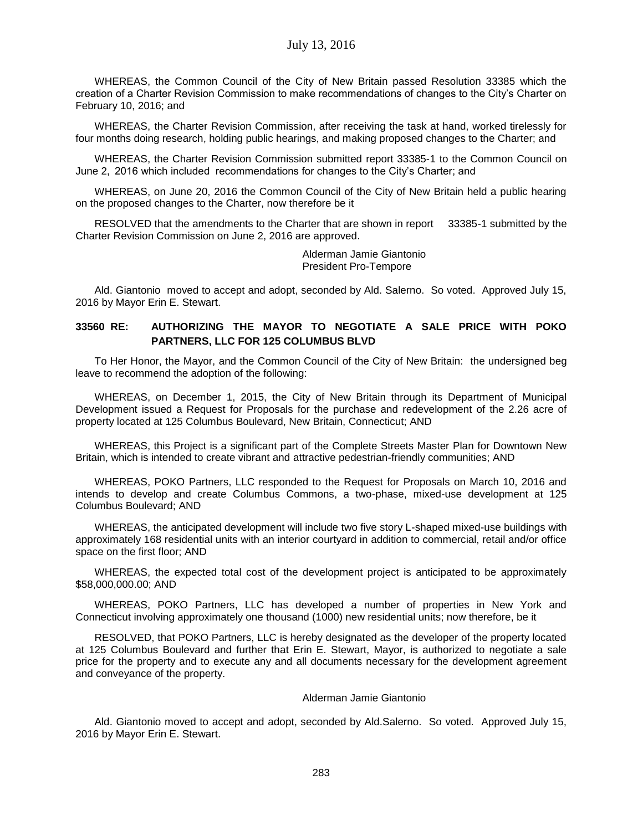WHEREAS, the Common Council of the City of New Britain passed Resolution 33385 which the creation of a Charter Revision Commission to make recommendations of changes to the City's Charter on February 10, 2016; and

WHEREAS, the Charter Revision Commission, after receiving the task at hand, worked tirelessly for four months doing research, holding public hearings, and making proposed changes to the Charter; and

WHEREAS, the Charter Revision Commission submitted report 33385-1 to the Common Council on June 2, 2016 which included recommendations for changes to the City's Charter; and

WHEREAS, on June 20, 2016 the Common Council of the City of New Britain held a public hearing on the proposed changes to the Charter, now therefore be it

RESOLVED that the amendments to the Charter that are shown in report 33385-1 submitted by the Charter Revision Commission on June 2, 2016 are approved.

> Alderman Jamie Giantonio President Pro-Tempore

Ald. Giantonio moved to accept and adopt, seconded by Ald. Salerno. So voted. Approved July 15, 2016 by Mayor Erin E. Stewart.

## **33560 RE: AUTHORIZING THE MAYOR TO NEGOTIATE A SALE PRICE WITH POKO PARTNERS, LLC FOR 125 COLUMBUS BLVD**

To Her Honor, the Mayor, and the Common Council of the City of New Britain: the undersigned beg leave to recommend the adoption of the following:

WHEREAS, on December 1, 2015, the City of New Britain through its Department of Municipal Development issued a Request for Proposals for the purchase and redevelopment of the 2.26 acre of property located at 125 Columbus Boulevard, New Britain, Connecticut; AND

WHEREAS, this Project is a significant part of the Complete Streets Master Plan for Downtown New Britain, which is intended to create vibrant and attractive pedestrian-friendly communities; AND

WHEREAS, POKO Partners, LLC responded to the Request for Proposals on March 10, 2016 and intends to develop and create Columbus Commons, a two-phase, mixed-use development at 125 Columbus Boulevard; AND

WHEREAS, the anticipated development will include two five story L-shaped mixed-use buildings with approximately 168 residential units with an interior courtyard in addition to commercial, retail and/or office space on the first floor; AND

WHEREAS, the expected total cost of the development project is anticipated to be approximately \$58,000,000.00; AND

WHEREAS, POKO Partners, LLC has developed a number of properties in New York and Connecticut involving approximately one thousand (1000) new residential units; now therefore, be it

RESOLVED, that POKO Partners, LLC is hereby designated as the developer of the property located at 125 Columbus Boulevard and further that Erin E. Stewart, Mayor, is authorized to negotiate a sale price for the property and to execute any and all documents necessary for the development agreement and conveyance of the property.

#### Alderman Jamie Giantonio

Ald. Giantonio moved to accept and adopt, seconded by Ald.Salerno. So voted. Approved July 15, 2016 by Mayor Erin E. Stewart.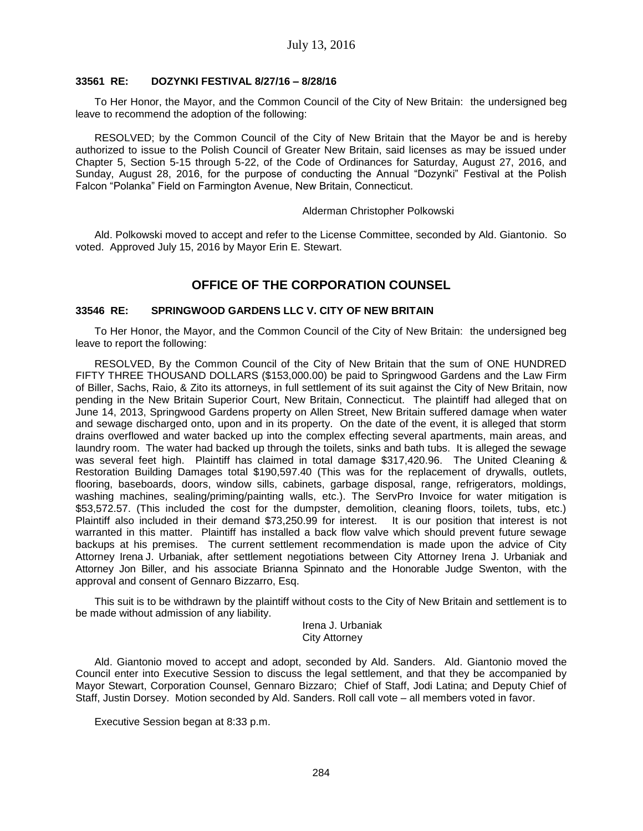#### **33561 RE: DOZYNKI FESTIVAL 8/27/16 – 8/28/16**

To Her Honor, the Mayor, and the Common Council of the City of New Britain: the undersigned beg leave to recommend the adoption of the following:

RESOLVED; by the Common Council of the City of New Britain that the Mayor be and is hereby authorized to issue to the Polish Council of Greater New Britain, said licenses as may be issued under Chapter 5, Section 5-15 through 5-22, of the Code of Ordinances for Saturday, August 27, 2016, and Sunday, August 28, 2016, for the purpose of conducting the Annual "Dozynki" Festival at the Polish Falcon "Polanka" Field on Farmington Avenue, New Britain, Connecticut.

#### Alderman Christopher Polkowski

Ald. Polkowski moved to accept and refer to the License Committee, seconded by Ald. Giantonio. So voted. Approved July 15, 2016 by Mayor Erin E. Stewart.

# **OFFICE OF THE CORPORATION COUNSEL**

#### **33546 RE: SPRINGWOOD GARDENS LLC V. CITY OF NEW BRITAIN**

To Her Honor, the Mayor, and the Common Council of the City of New Britain: the undersigned beg leave to report the following:

RESOLVED, By the Common Council of the City of New Britain that the sum of ONE HUNDRED FIFTY THREE THOUSAND DOLLARS (\$153,000.00) be paid to Springwood Gardens and the Law Firm of Biller, Sachs, Raio, & Zito its attorneys, in full settlement of its suit against the City of New Britain, now pending in the New Britain Superior Court, New Britain, Connecticut. The plaintiff had alleged that on June 14, 2013, Springwood Gardens property on Allen Street, New Britain suffered damage when water and sewage discharged onto, upon and in its property. On the date of the event, it is alleged that storm drains overflowed and water backed up into the complex effecting several apartments, main areas, and laundry room. The water had backed up through the toilets, sinks and bath tubs. It is alleged the sewage was several feet high. Plaintiff has claimed in total damage \$317,420.96. The United Cleaning & Restoration Building Damages total \$190,597.40 (This was for the replacement of drywalls, outlets, flooring, baseboards, doors, window sills, cabinets, garbage disposal, range, refrigerators, moldings, washing machines, sealing/priming/painting walls, etc.). The ServPro Invoice for water mitigation is \$53,572.57. (This included the cost for the dumpster, demolition, cleaning floors, toilets, tubs, etc.) Plaintiff also included in their demand \$73,250.99 for interest. It is our position that interest is not warranted in this matter. Plaintiff has installed a back flow valve which should prevent future sewage backups at his premises. The current settlement recommendation is made upon the advice of City Attorney Irena J. Urbaniak, after settlement negotiations between City Attorney Irena J. Urbaniak and Attorney Jon Biller, and his associate Brianna Spinnato and the Honorable Judge Swenton, with the approval and consent of Gennaro Bizzarro, Esq.

This suit is to be withdrawn by the plaintiff without costs to the City of New Britain and settlement is to be made without admission of any liability.

> Irena J. Urbaniak City Attorney

Ald. Giantonio moved to accept and adopt, seconded by Ald. Sanders. Ald. Giantonio moved the Council enter into Executive Session to discuss the legal settlement, and that they be accompanied by Mayor Stewart, Corporation Counsel, Gennaro Bizzaro; Chief of Staff, Jodi Latina; and Deputy Chief of Staff, Justin Dorsey. Motion seconded by Ald. Sanders. Roll call vote – all members voted in favor.

Executive Session began at 8:33 p.m.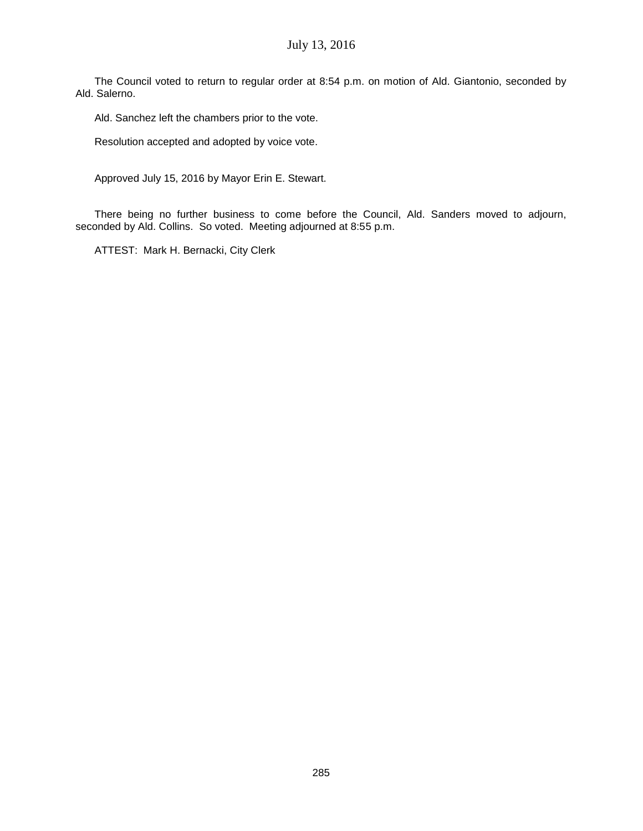The Council voted to return to regular order at 8:54 p.m. on motion of Ald. Giantonio, seconded by Ald. Salerno.

Ald. Sanchez left the chambers prior to the vote.

Resolution accepted and adopted by voice vote.

Approved July 15, 2016 by Mayor Erin E. Stewart.

There being no further business to come before the Council, Ald. Sanders moved to adjourn, seconded by Ald. Collins. So voted. Meeting adjourned at 8:55 p.m.

ATTEST: Mark H. Bernacki, City Clerk